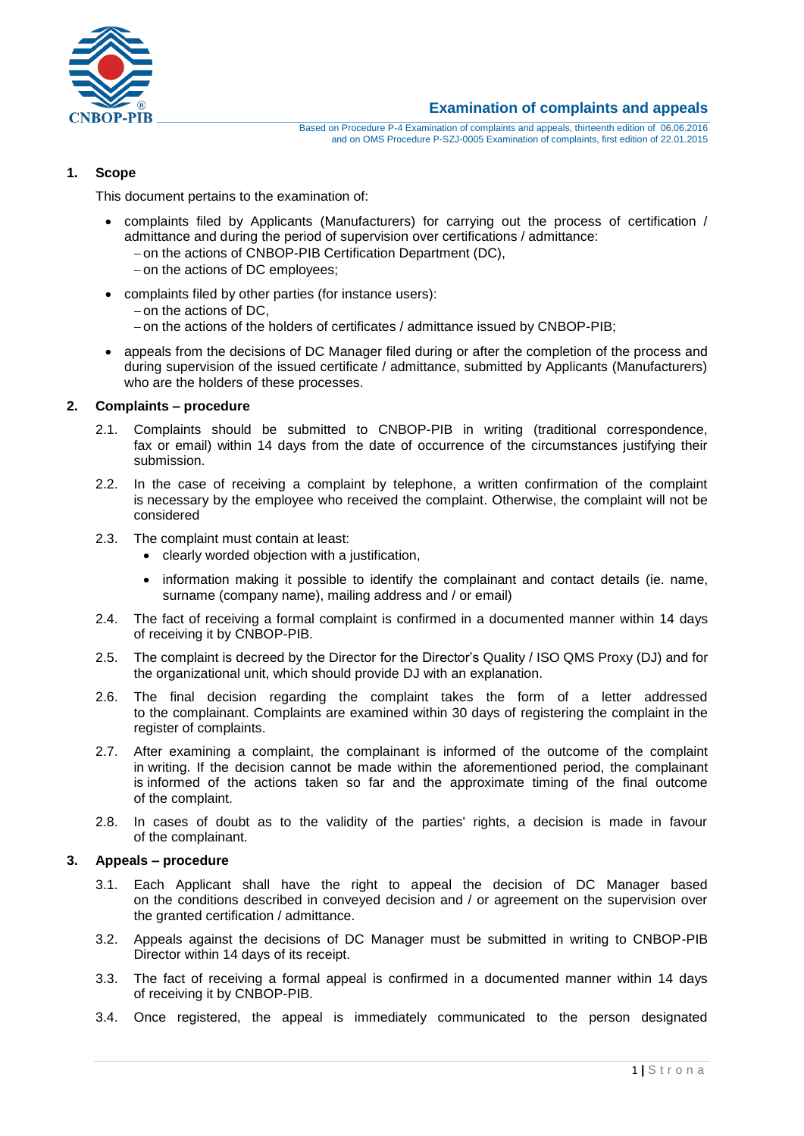

## **1. Scope**

This document pertains to the examination of:

- complaints filed by Applicants (Manufacturers) for carrying out the process of certification / admittance and during the period of supervision over certifications / admittance:
	- on the actions of CNBOP-PIB Certification Department (DC),
	- $-$  on the actions of DC employees;
- complaints filed by other parties (for instance users):
	- $-$  on the actions of DC,
	- on the actions of the holders of certificates / admittance issued by CNBOP-PIB;
- appeals from the decisions of DC Manager filed during or after the completion of the process and during supervision of the issued certificate / admittance, submitted by Applicants (Manufacturers) who are the holders of these processes.

## **2. Complaints – procedure**

- 2.1. Complaints should be submitted to CNBOP-PIB in writing (traditional correspondence, fax or email) within 14 days from the date of occurrence of the circumstances justifying their submission.
- 2.2. In the case of receiving a complaint by telephone, a written confirmation of the complaint is necessary by the employee who received the complaint. Otherwise, the complaint will not be considered
- 2.3. The complaint must contain at least:
	- clearly worded objection with a justification,
	- information making it possible to identify the complainant and contact details (ie. name, surname (company name), mailing address and / or email)
- 2.4. The fact of receiving a formal complaint is confirmed in a documented manner within 14 days of receiving it by CNBOP-PIB.
- 2.5. The complaint is decreed by the Director for the Director's Quality / ISO QMS Proxy (DJ) and for the organizational unit, which should provide DJ with an explanation.
- 2.6. The final decision regarding the complaint takes the form of a letter addressed to the complainant. Complaints are examined within 30 days of registering the complaint in the register of complaints.
- 2.7. After examining a complaint, the complainant is informed of the outcome of the complaint in writing. If the decision cannot be made within the aforementioned period, the complainant is informed of the actions taken so far and the approximate timing of the final outcome of the complaint.
- 2.8. In cases of doubt as to the validity of the parties' rights, a decision is made in favour of the complainant.

## **3. Appeals – procedure**

- 3.1. Each Applicant shall have the right to appeal the decision of DC Manager based on the conditions described in conveyed decision and / or agreement on the supervision over the granted certification / admittance.
- 3.2. Appeals against the decisions of DC Manager must be submitted in writing to CNBOP-PIB Director within 14 days of its receipt.
- 3.3. The fact of receiving a formal appeal is confirmed in a documented manner within 14 days of receiving it by CNBOP-PIB.
- 3.4. Once registered, the appeal is immediately communicated to the person designated